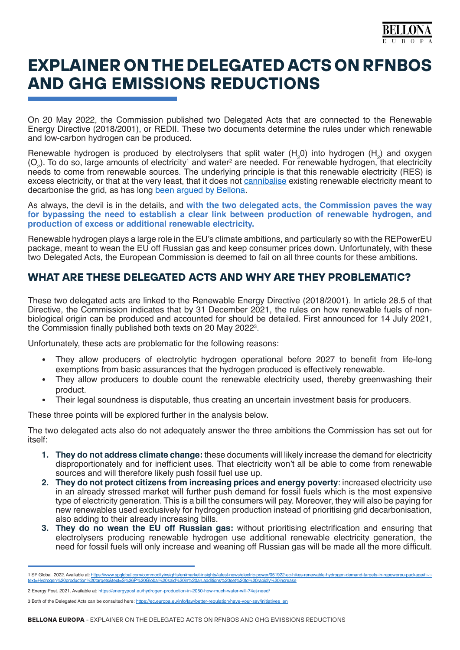

# **EXPLAINER ON THE DELEGATED ACTS ON RFNBOS AND GHG EMISSIONS REDUCTIONS**

On 20 May 2022, the Commission published two Delegated Acts that are connected to the Renewable Energy Directive (2018/2001), or REDII. These two documents determine the rules under which renewable and low-carbon hydrogen can be produced.

Renewable hydrogen is produced by electrolysers that split water  $(H_2 0)$  into hydrogen  $(H_2)$  and oxygen  $(O<sub>2</sub>)$ . To do so, large amounts of electricity<sup>1</sup> and water<sup>2</sup> are needed. For renewable hydrogen, that electricity needs to come from renewable sources. The underlying principle is that this renewable electricity (RES) is excess electricity, or that at the very least, that it does not [cannibalise](https://network.bellona.org/content/uploads/sites/3/2021/06/Impact-Assessment-of-REDII-Delegated-Act-on-Electrolytic-Hydrogen-CO2-Intensity.pdf) existing renewable electricity meant to decarbonise the grid, as has long [been argued by Bellona](https://network.bellona.org/content/uploads/sites/3/2020/06/ConsultationResponse_EU-Hydrogen-Strategy-1.pdf).

As always, the devil is in the details, and **with the two delegated acts, the Commission paves the way for bypassing the need to establish a clear link between production of renewable hydrogen, and production of excess or additional renewable electricity.**

Renewable hydrogen plays a large role in the EU's climate ambitions, and particularly so with the REPowerEU package, meant to wean the EU off Russian gas and keep consumer prices down. Unfortunately, with these two Delegated Acts, the European Commission is deemed to fail on all three counts for these ambitions.

# **WHAT ARE THESE DELEGATED ACTS AND WHY ARE THEY PROBLEMATIC?**

These two delegated acts are linked to the Renewable Energy Directive (2018/2001). In article 28.5 of that Directive, the Commission indicates that by 31 December 2021, the rules on how renewable fuels of nonbiological origin can be produced and accounted for should be detailed. First announced for 14 July 2021, the Commission finally published both texts on 20 May 2022<sup>3</sup>.

Unfortunately, these acts are problematic for the following reasons:

- They allow producers of electrolytic hydrogen operational before 2027 to benefit from life-long exemptions from basic assurances that the hydrogen produced is effectively renewable.
- They allow producers to double count the renewable electricity used, thereby greenwashing their product.
- Their legal soundness is disputable, thus creating an uncertain investment basis for producers.

These three points will be explored further in the analysis below.

The two delegated acts also do not adequately answer the three ambitions the Commission has set out for itself:

- **1. They do not address climate change:** these documents will likely increase the demand for electricity disproportionately and for inefficient uses. That electricity won't all be able to come from renewable sources and will therefore likely push fossil fuel use up.
- **2. They do not protect citizens from increasing prices and energy poverty**: increased electricity use in an already stressed market will further push demand for fossil fuels which is the most expensive type of electricity generation. This is a bill the consumers will pay. Moreover, they will also be paying for new renewables used exclusively for hydrogen production instead of prioritising grid decarbonisation, also adding to their already increasing bills.
- **3. They do no wean the EU off Russian gas:** without prioritising electrification and ensuring that electrolysers producing renewable hydrogen use additional renewable electricity generation, the need for fossil fuels will only increase and weaning off Russian gas will be made all the more difficult.

<sup>1</sup> SP Global. 2022. Available at: <u>https://www.spglobal.com/commodityinsights/en/market-insights/latest-news/electric-power/051922-ec-hikes-renewable-hydrogen-demand-targets-in-repowereu-package#:~:-<br><u>text=Hydrogen%20produc</u></u>

<sup>2</sup> Energy Post. 2021. Available at: <https://energypost.eu/hydrogen-production-in-2050-how-much-water-will-74ej-need/>

<sup>3</sup> Both of the Delegated Acts can be consulted here: [https://ec.europa.eu/info/law/better-regulation/have-your-say/initiatives\\_en](https://ec.europa.eu/info/law/better-regulation/have-your-say/initiatives_en)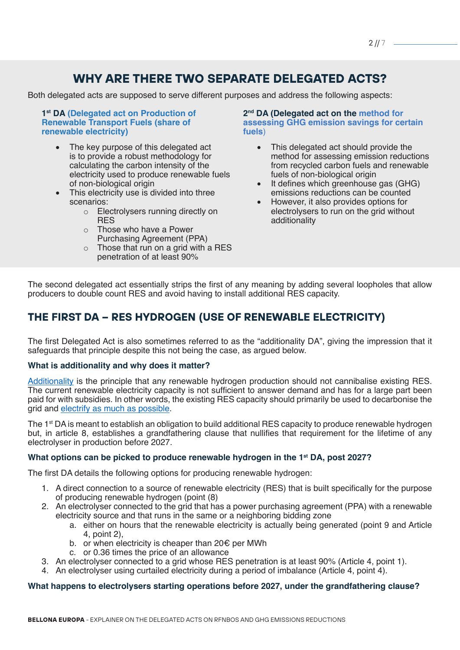# **WHY ARE THERE TWO SEPARATE DELEGATED ACTS?**

Both delegated acts are supposed to serve different purposes and address the following aspects:

**1st DA [\(Delegated act on Production of](https://ec.europa.eu/info/law/better-regulation/have-your-say/initiatives/7046068-Production-of-renewable-transport-fuels-share-of-renewable-electricity-requirements-_en)  [Renewable Transport Fuels \(share of](https://ec.europa.eu/info/law/better-regulation/have-your-say/initiatives/7046068-Production-of-renewable-transport-fuels-share-of-renewable-electricity-requirements-_en)  [renewable electricity\)](https://ec.europa.eu/info/law/better-regulation/have-your-say/initiatives/7046068-Production-of-renewable-transport-fuels-share-of-renewable-electricity-requirements-_en)**

- The key purpose of this delegated act is to provide a robust methodology for calculating the carbon intensity of the electricity used to produce renewable fuels of non-biological origin
- This electricity use is divided into three scenarios:
	- o Electrolysers running directly on **RES**
	- o Those who have a Power Purchasing Agreement (PPA)
	- $\circ$  Those that run on a grid with a RES penetration of at least 90%

**2nd DA [\(Delegated act on the](https://ec.europa.eu/info/law/better-regulation/have-your-say/initiatives/12713-Renewable-energy-method-for-assessing-greenhouse-gas-emission-savings-for-certain-fuels_en) method for [assessing GHG emission savings for certain](https://ec.europa.eu/info/law/better-regulation/have-your-say/initiatives/12713-Renewable-energy-method-for-assessing-greenhouse-gas-emission-savings-for-certain-fuels_en)  [fuels](https://ec.europa.eu/info/law/better-regulation/have-your-say/initiatives/12713-Renewable-energy-method-for-assessing-greenhouse-gas-emission-savings-for-certain-fuels_en)**)

- This delegated act should provide the method for assessing emission reductions from recycled carbon fuels and renewable fuels of non-biological origin
- It defines which greenhouse gas (GHG) emissions reductions can be counted
- However, it also provides options for electrolysers to run on the grid without additionality

The second delegated act essentially strips the first of any meaning by adding several loopholes that allow producers to double count RES and avoid having to install additional RES capacity.

# **THE FIRST DA – RES HYDROGEN (USE OF RENEWABLE ELECTRICITY)**

The first Delegated Act is also sometimes referred to as the "additionality DA", giving the impression that it safeguards that principle despite this not being the case, as argued below.

#### **What is additionality and why does it matter?**

[Additionality](https://www.euractiv.com/section/energy/opinion/additionality-the-key-to-turn-the-hydrogen-buzz-into-a-renewable-boom/) is the principle that any renewable hydrogen production should not cannibalise existing RES. The current renewable electricity capacity is not sufficient to answer demand and has for a large part been paid for with subsidies. In other words, the existing RES capacity should primarily be used to decarbonise the grid and [electrify as much as possible](https://bellona.org/publication/using-repowereu-to-its-full-potential).

The 1<sup>st</sup> DA is meant to establish an obligation to build additional RES capacity to produce renewable hydrogen but, in article 8, establishes a grandfathering clause that nullifies that requirement for the lifetime of any electrolyser in production before 2027.

#### **What options can be picked to produce renewable hydrogen in the 1st DA, post 2027?**

The first DA details the following options for producing renewable hydrogen:

- 1. A direct connection to a source of renewable electricity (RES) that is built specifically for the purpose of producing renewable hydrogen (point (8)
- 2. An electrolyser connected to the grid that has a power purchasing agreement (PPA) with a renewable electricity source and that runs in the same or a neighboring bidding zone
	- a. either on hours that the renewable electricity is actually being generated (point 9 and Article 4, point 2),
	- b. or when electricity is cheaper than 20€ per MWh
	- c. or 0.36 times the price of an allowance
- 3. An electrolyser connected to a grid whose RES penetration is at least 90% (Article 4, point 1).
- 4. An electrolyser using curtailed electricity during a period of imbalance (Article 4, point 4).

#### **What happens to electrolysers starting operations before 2027, under the grandfathering clause?**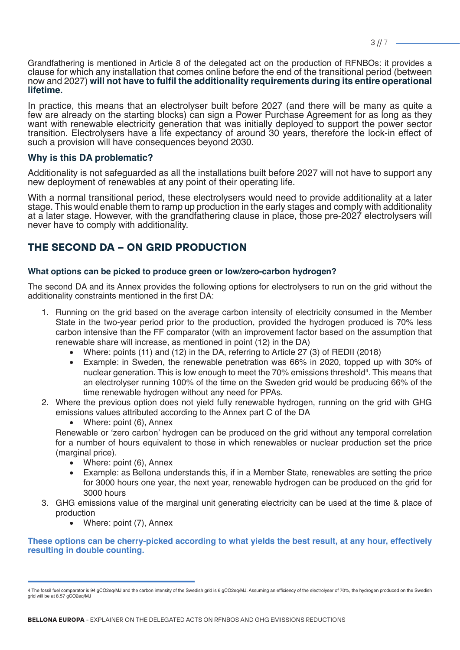Grandfathering is mentioned in Article 8 of the delegated act on the production of RFNBOs: it provides a clause for which any installation that comes online before the end of the transitional period (between now and 2027) **will not have to fulfil the additionality requirements during its entire operational lifetime.** 

In practice, this means that an electrolyser built before 2027 (and there will be many as quite a few are already on the starting blocks) can sign a Power Purchase Agreement for as long as they want with renewable electricity generation that was initially deployed to support the power sector transition. Electrolysers have a life expectancy of around 30 years, therefore the lock-in effect of such a provision will have consequences beyond 2030.

#### **Why is this DA problematic?**

Additionality is not safeguarded as all the installations built before 2027 will not have to support any new deployment of renewables at any point of their operating life.

With a normal transitional period, these electrolysers would need to provide additionality at a later stage. This would enable them to ramp up production in the early stages and comply with additionality at a later stage. However, with the grandfathering clause in place, those pre-2027 electrolysers will never have to comply with additionality.

## **THE SECOND DA – ON GRID PRODUCTION**

#### **What options can be picked to produce green or low/zero-carbon hydrogen?**

The second DA and its Annex provides the following options for electrolysers to run on the grid without the additionality constraints mentioned in the first DA:

- 1. Running on the grid based on the average carbon intensity of electricity consumed in the Member State in the two-year period prior to the production, provided the hydrogen produced is 70% less carbon intensive than the FF comparator (with an improvement factor based on the assumption that renewable share will increase, as mentioned in point (12) in the DA)
	- Where: points (11) and (12) in the DA, referring to Article 27 (3) of REDII (2018)
	- Example: in Sweden, the renewable penetration was 66% in 2020, topped up with 30% of nuclear generation. This is low enough to meet the 70% emissions threshold<sup>4</sup>. This means that an electrolyser running 100% of the time on the Sweden grid would be producing 66% of the time renewable hydrogen without any need for PPAs.
- 2. Where the previous option does not yield fully renewable hydrogen, running on the grid with GHG emissions values attributed according to the Annex part C of the DA
	- Where: point (6), Annex

Renewable or 'zero carbon' hydrogen can be produced on the grid without any temporal correlation for a number of hours equivalent to those in which renewables or nuclear production set the price (marginal price).

- Where: point (6), Annex
- Example: as Bellona understands this, if in a Member State, renewables are setting the price for 3000 hours one year, the next year, renewable hydrogen can be produced on the grid for 3000 hours
- 3. GHG emissions value of the marginal unit generating electricity can be used at the time & place of production
	- Where: point (7), Annex

#### **These options can be cherry-picked according to what yields the best result, at any hour, effectively resulting in double counting.**

<sup>4</sup> The fossil fuel comparator is 94 gCO2eq/MJ and the carbon intensity of the Swedish grid is 6 gCO2eq/MJ. Assuming an efficiency of the electrolyser of 70%, the hydrogen produced on the Swedish grid will be at 8.57 gCO2eq/MJ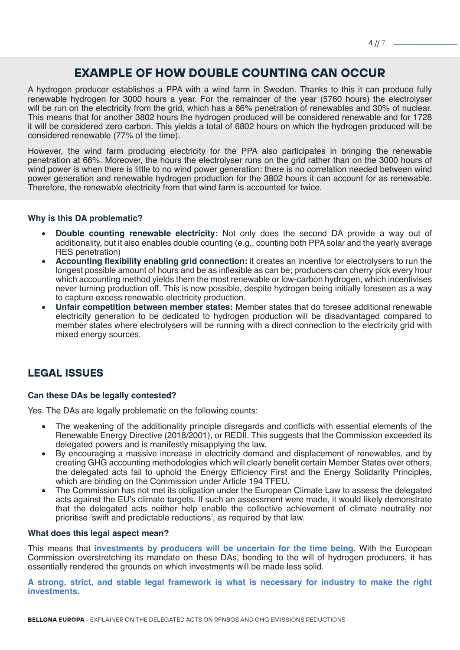# **EXAMPLE OF HOW DOUBLE COUNTING CAN OCCUR**

A hydrogen producer establishes a PPA with a wind farm in Sweden. Thanks to this it can produce fully renewable hydrogen for 3000 hours a year. For the remainder of the year (5760 hours) the electrolyser will be run on the electricity from the grid, which has a 66% penetration of renewables and 30% of nuclear. This means that for another 3802 hours the hydrogen produced will be considered renewable and for 1728 it will be considered zero carbon. This yields a total of 6802 hours on which the hydrogen produced will be considered renewable (77% of the time).

However, the wind farm producing electricity for the PPA also participates in bringing the renewable penetration at 66%. Moreover, the hours the electrolyser runs on the grid rather than on the 3000 hours of wind power is when there is little to no wind power generation: there is no correlation needed between wind power generation and renewable hydrogen production for the 3802 hours it can account for as renewable. Therefore, the renewable electricity from that wind farm is accounted for twice.

#### **Why is this DA problematic?**

- **Double counting renewable electricity:** Not only does the second DA provide a way out of additionality, but it also enables double counting (e.g., counting both PPA solar and the yearly average RES penetration)
- Accounting flexibility enabling grid connection: it creates an incentive for electrolysers to run the longest possible amount of hours and be as inflexible as can be; producers can cherry pick every hour which accounting method yields them the most renewable or low-carbon hydrogen, which incentivises never turning production off. This is now possible, despite hydrogen being initially foreseen as a way to capture excess renewable electricity production.
- **Unfair competition between member states:** Member states that do foresee additional renewable electricity generation to be dedicated to hydrogen production will be disadvantaged compared to member states where electrolysers will be running with a direct connection to the electricity grid with mixed energy sources.

### **LEGAL ISSUES**

#### **Can these DAs be legally contested?**

Yes. The DAs are legally problematic on the following counts:

- The weakening of the additionality principle disregards and conflicts with essential elements of the Renewable Energy Directive (2018/2001), or REDII. This suggests that the Commission exceeded its delegated powers and is manifestly misapplying the law.
- By encouraging a massive increase in electricity demand and displacement of renewables, and by creating GHG accounting methodologies which will clearly benefit certain Member States over others, the delegated acts fail to uphold the Energy Efficiency First and the Energy Solidarity Principles, which are binding on the Commission under Article 194 TFEU.
- The Commission has not met its obligation under the European Climate Law to assess the delegated acts against the EU's climate targets. If such an assessment were made, it would likely demonstrate that the delegated acts neither help enable the collective achievement of climate neutrality nor prioritise 'swift and predictable reductions', as required by that law.

#### **What does this legal aspect mean?**

This means that **investments by producers will be uncertain for the time being**. With the European Commission overstretching its mandate on these DAs, bending to the will of hydrogen producers, it has essentially rendered the grounds on which investments will be made less solid.

**A strong, strict, and stable legal framework is what is necessary for industry to make the right investments.**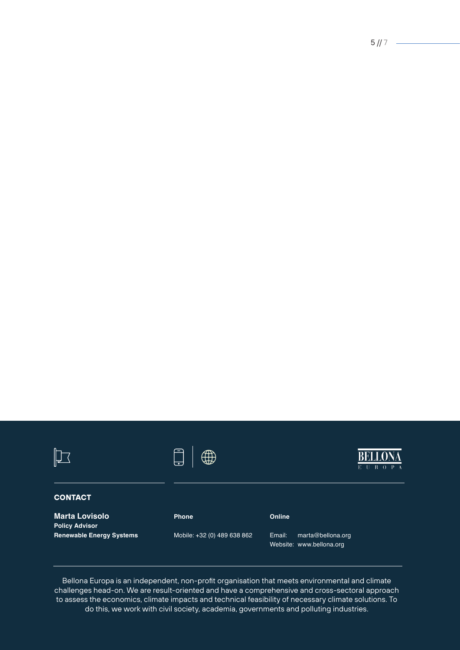# **CONTACT**

**Marta Lovisolo Policy Advisor Renewable Energy Systems**



**Phone** 



# **Online**

Mobile: +32 (0) 489 638 862

Email: marta@bellona.org Website: www.bellona.org

Bellona Europa is an independent, non-profit organisation that meets environmental and climate challenges head-on. We are result-oriented and have a comprehensive and cross-sectoral approach to assess the economics, climate impacts and technical feasibility of necessary climate solutions. To do this, we work with civil society, academia, governments and polluting industries.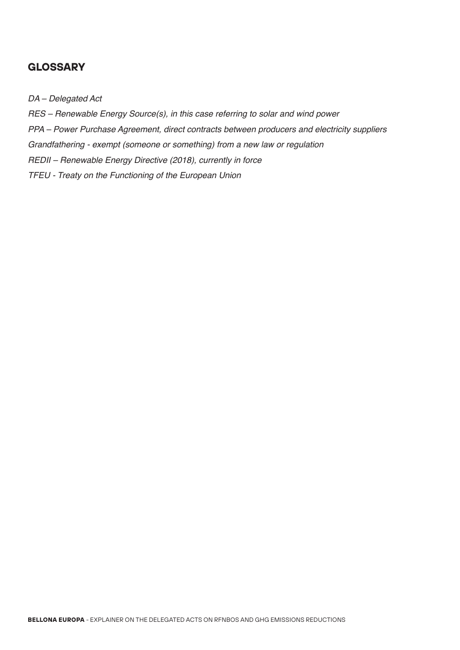### **GLOSSARY**

*DA – Delegated Act*

*RES – Renewable Energy Source(s), in this case referring to solar and wind power*

*PPA – Power Purchase Agreement, direct contracts between producers and electricity suppliers*

*Grandfathering - exempt (someone or something) from a new law or regulation*

*REDII – Renewable Energy Directive (2018), currently in force*

*TFEU - Treaty on the Functioning of the European Union*